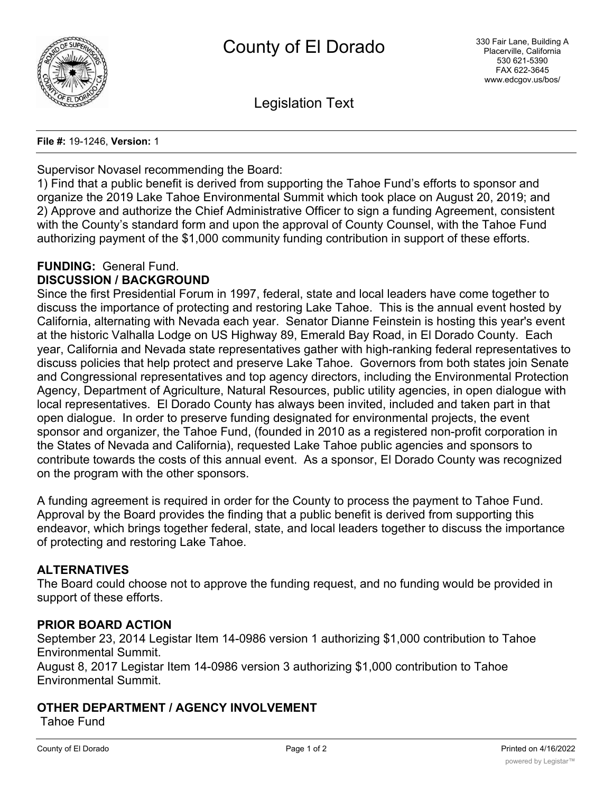

Legislation Text

**File #:** 19-1246, **Version:** 1

Supervisor Novasel recommending the Board:

1) Find that a public benefit is derived from supporting the Tahoe Fund's efforts to sponsor and organize the 2019 Lake Tahoe Environmental Summit which took place on August 20, 2019; and 2) Approve and authorize the Chief Administrative Officer to sign a funding Agreement, consistent with the County's standard form and upon the approval of County Counsel, with the Tahoe Fund authorizing payment of the \$1,000 community funding contribution in support of these efforts.

# **FUNDING:** General Fund.

## **DISCUSSION / BACKGROUND**

Since the first Presidential Forum in 1997, federal, state and local leaders have come together to discuss the importance of protecting and restoring Lake Tahoe. This is the annual event hosted by California, alternating with Nevada each year. Senator Dianne Feinstein is hosting this year's event at the historic Valhalla Lodge on US Highway 89, Emerald Bay Road, in El Dorado County. Each year, California and Nevada state representatives gather with high-ranking federal representatives to discuss policies that help protect and preserve Lake Tahoe. Governors from both states join Senate and Congressional representatives and top agency directors, including the Environmental Protection Agency, Department of Agriculture, Natural Resources, public utility agencies, in open dialogue with local representatives. El Dorado County has always been invited, included and taken part in that open dialogue. In order to preserve funding designated for environmental projects, the event sponsor and organizer, the Tahoe Fund, (founded in 2010 as a registered non-profit corporation in the States of Nevada and California), requested Lake Tahoe public agencies and sponsors to contribute towards the costs of this annual event. As a sponsor, El Dorado County was recognized on the program with the other sponsors.

A funding agreement is required in order for the County to process the payment to Tahoe Fund. Approval by the Board provides the finding that a public benefit is derived from supporting this endeavor, which brings together federal, state, and local leaders together to discuss the importance of protecting and restoring Lake Tahoe.

## **ALTERNATIVES**

The Board could choose not to approve the funding request, and no funding would be provided in support of these efforts.

## **PRIOR BOARD ACTION**

September 23, 2014 Legistar Item 14-0986 version 1 authorizing \$1,000 contribution to Tahoe Environmental Summit.

August 8, 2017 Legistar Item 14-0986 version 3 authorizing \$1,000 contribution to Tahoe Environmental Summit.

## **OTHER DEPARTMENT / AGENCY INVOLVEMENT**

Tahoe Fund